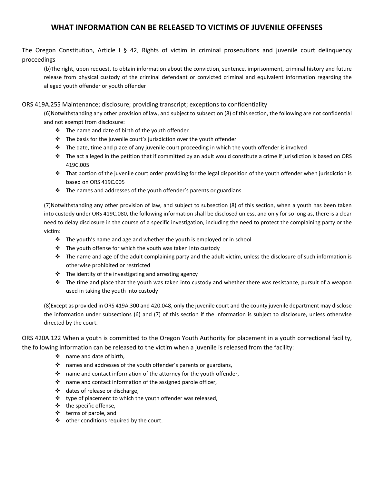## **WHAT INFORMATION CAN BE RELEASED TO VICTIMS OF JUVENILE OFFENSES**

The Oregon Constitution, Article I § 42, Rights of victim in criminal prosecutions and juvenile court delinquency proceedings

(b)The right, upon request, to obtain information about the conviction, sentence, imprisonment, criminal history and future release from physical custody of the criminal defendant or convicted criminal and equivalent information regarding the alleged youth offender or youth offender

## ORS 419A.255 Maintenance; disclosure; providing transcript; exceptions to confidentiality

(6)Notwithstanding any other provision of law, and subject to subsection (8) of this section, the following are not confidential and not exempt from disclosure:

- $\cdot \cdot$  The name and date of birth of the youth offender
- $\cdot \cdot$  The basis for the juvenile court's jurisdiction over the youth offender
- \* The date, time and place of any juvenile court proceeding in which the youth offender is involved
- $\cdot \cdot$  The act alleged in the petition that if committed by an adult would constitute a crime if jurisdiction is based on ORS 419C.005
- **That portion of the juvenile court order providing for the legal disposition of the youth offender when jurisdiction is** based on ORS 419C.005
- $\cdot \cdot$  The names and addresses of the youth offender's parents or guardians

(7)Notwithstanding any other provision of law, and subject to subsection (8) of this section, when a youth has been taken into custody under ORS 419C.080, the following information shall be disclosed unless, and only for so long as, there is a clear need to delay disclosure in the course of a specific investigation, including the need to protect the complaining party or the victim:

- $\cdot \cdot$  The youth's name and age and whether the youth is employed or in school
- \* The youth offense for which the youth was taken into custody
- $\cdot \cdot$  The name and age of the adult complaining party and the adult victim, unless the disclosure of such information is otherwise prohibited or restricted
- $\cdot \cdot$  The identity of the investigating and arresting agency
- The time and place that the youth was taken into custody and whether there was resistance, pursuit of a weapon used in taking the youth into custody

(8)Except as provided in ORS 419A.300 and 420.048, only the juvenile court and the county juvenile department may disclose the information under subsections (6) and (7) of this section if the information is subject to disclosure, unless otherwise directed by the court.

ORS 420A.122 When a youth is committed to the Oregon Youth Authority for placement in a youth correctional facility, the following information can be released to the victim when a juvenile is released from the facility:

- name and date of birth,
- names and addresses of the youth offender's parents or guardians,
- \* name and contact information of the attorney for the youth offender,
- $\cdot \cdot$  name and contact information of the assigned parole officer,
- dates of release or discharge,
- $\cdot \cdot$  type of placement to which the youth offender was released,
- $\div$  the specific offense,
- $\div$  terms of parole, and
- other conditions required by the court.